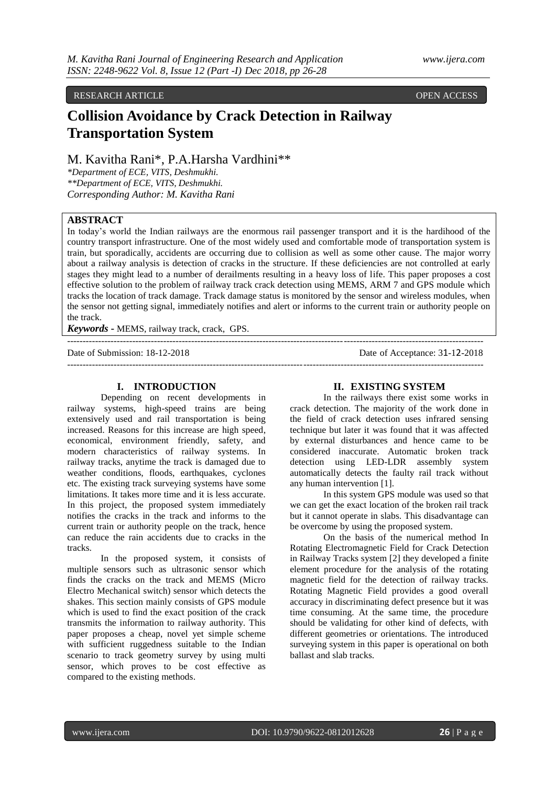# RESEARCH ARTICLE **COPEN ACCESS**

# **Collision Avoidance by Crack Detection in Railway Transportation System**

M. Kavitha Rani\*, P.A.Harsha Vardhini\*\*

*\*Department of ECE, VITS, Deshmukhi. \*\*Department of ECE, VITS, Deshmukhi. Corresponding Author: M. Kavitha Rani*

# **ABSTRACT**

In today's world the Indian railways are the enormous rail passenger transport and it is the hardihood of the country transport infrastructure. One of the most widely used and comfortable mode of transportation system is train, but sporadically, accidents are occurring due to collision as well as some other cause. The major worry about a railway analysis is detection of cracks in the structure. If these deficiencies are not controlled at early stages they might lead to a number of derailments resulting in a heavy loss of life. This paper proposes a cost effective solution to the problem of railway track crack detection using MEMS, ARM 7 and GPS module which tracks the location of track damage. Track damage status is monitored by the sensor and wireless modules, when the sensor not getting signal, immediately notifies and alert or informs to the current train or authority people on the track.

--------------------------------------------------------------------------------------------------------------------------------------

--------------------------------------------------------------------------------------------------------------------------------------

*Keywords* **-** MEMS, railway track, crack, GPS.

Date of Submission: 18-12-2018 Date of Acceptance: 31-12-2018

#### **I. INTRODUCTION**

Depending on recent developments in railway systems, high-speed trains are being extensively used and rail transportation is being increased. Reasons for this increase are high speed, economical, environment friendly, safety, and modern characteristics of railway systems. In railway tracks, anytime the track is damaged due to weather conditions, floods, earthquakes, cyclones etc. The existing track surveying systems have some limitations. It takes more time and it is less accurate. In this project, the proposed system immediately notifies the cracks in the track and informs to the current train or authority people on the track, hence can reduce the rain accidents due to cracks in the tracks.

In the proposed system, it consists of multiple sensors such as ultrasonic sensor which finds the cracks on the track and MEMS (Micro Electro Mechanical switch) sensor which detects the shakes. This section mainly consists of GPS module which is used to find the exact position of the crack transmits the information to railway authority. This paper proposes a cheap, novel yet simple scheme with sufficient ruggedness suitable to the Indian scenario to track geometry survey by using multi sensor, which proves to be cost effective as compared to the existing methods.

#### **II. EXISTING SYSTEM**

In the railways there exist some works in crack detection. The majority of the work done in the field of crack detection uses infrared sensing technique but later it was found that it was affected by external disturbances and hence came to be considered inaccurate. Automatic broken track detection using LED-LDR assembly system automatically detects the faulty rail track without any human intervention [1].

In this system GPS module was used so that we can get the exact location of the broken rail track but it cannot operate in slabs. This disadvantage can be overcome by using the proposed system.

On the basis of the numerical method In Rotating Electromagnetic Field for Crack Detection in Railway Tracks system [2] they developed a finite element procedure for the analysis of the rotating magnetic field for the detection of railway tracks. Rotating Magnetic Field provides a good overall accuracy in discriminating defect presence but it was time consuming. At the same time, the procedure should be validating for other kind of defects, with different geometries or orientations. The introduced surveying system in this paper is operational on both ballast and slab tracks.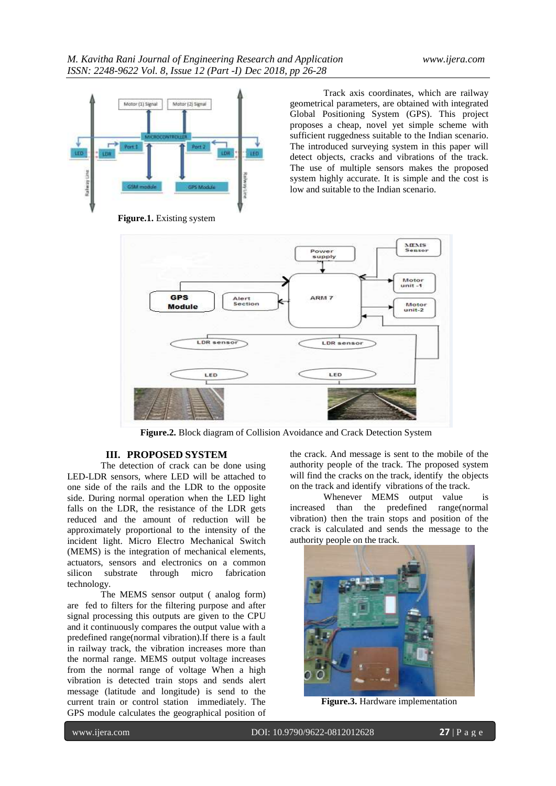

Track axis coordinates, which are railway geometrical parameters, are obtained with integrated Global Positioning System (GPS). This project proposes a cheap, novel yet simple scheme with sufficient ruggedness suitable to the Indian scenario. The introduced surveying system in this paper will detect objects, cracks and vibrations of the track. The use of multiple sensors makes the proposed system highly accurate. It is simple and the cost is low and suitable to the Indian scenario.



**Figure.2.** Block diagram of Collision Avoidance and Crack Detection System

# **III. PROPOSED SYSTEM**

The detection of crack can be done using LED-LDR sensors, where LED will be attached to one side of the rails and the LDR to the opposite side. During normal operation when the LED light falls on the LDR, the resistance of the LDR gets reduced and the amount of reduction will be approximately proportional to the intensity of the incident light. Micro Electro Mechanical Switch (MEMS) is the integration of mechanical elements, actuators, sensors and electronics on a common silicon substrate through micro fabrication technology.

The MEMS sensor output ( analog form) are fed to filters for the filtering purpose and after signal processing this outputs are given to the CPU and it continuously compares the output value with a predefined range(normal vibration).If there is a fault in railway track, the vibration increases more than the normal range. MEMS output voltage increases from the normal range of voltage When a high vibration is detected train stops and sends alert message (latitude and longitude) is send to the current train or control station immediately. The GPS module calculates the geographical position of

the crack. And message is sent to the mobile of the authority people of the track. The proposed system will find the cracks on the track, identify the objects on the track and identify vibrations of the track.

Whenever MEMS output value is increased than the predefined range(normal vibration) then the train stops and position of the crack is calculated and sends the message to the authority people on the track.



**Figure.3.** Hardware implementation